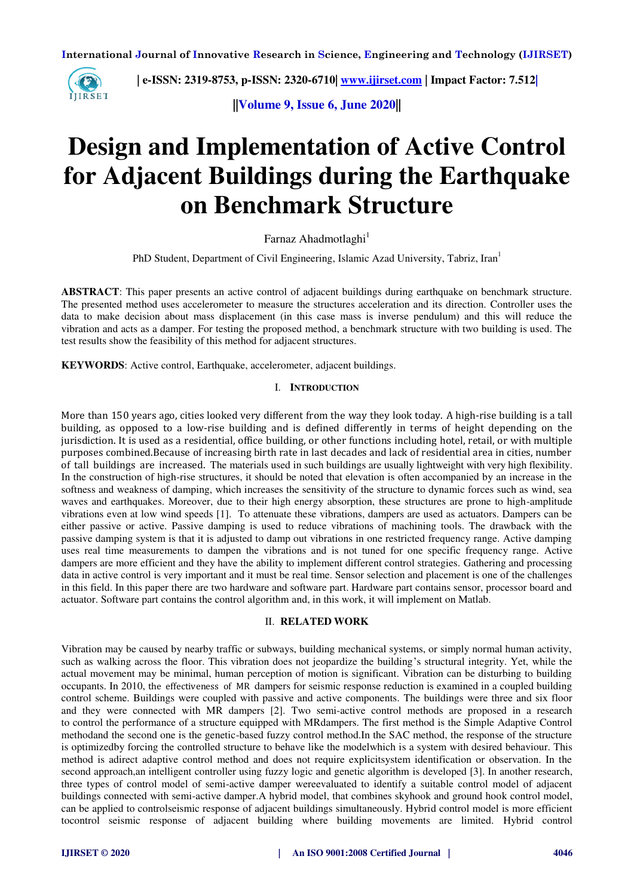

 **| e-ISSN: 2319-8753, p-ISSN: 2320-6710| [www.ijirset.com](http://www.ijirset.com/) | Impact Factor: 7.512|**

**||Volume 9, Issue 6, June 2020||** 

# **Design and Implementation of Active Control for Adjacent Buildings during the Earthquake on Benchmark Structure**

Farnaz Ahadmotlaghi<sup>1</sup>

PhD Student, Department of Civil Engineering, Islamic Azad University, Tabriz, Iran<sup>1</sup>

**ABSTRACT**: This paper presents an active control of adjacent buildings during earthquake on benchmark structure. The presented method uses accelerometer to measure the structures acceleration and its direction. Controller uses the data to make decision about mass displacement (in this case mass is inverse pendulum) and this will reduce the vibration and acts as a damper. For testing the proposed method, a benchmark structure with two building is used. The test results show the feasibility of this method for adjacent structures.

**KEYWORDS**: Active control, Earthquake, accelerometer, adjacent buildings.

#### I. **INTRODUCTION**

More than 150 years ago, cities looked very different from the way they look today. A high-rise building is a tall [building,](https://en.wikipedia.org/wiki/Building) as opposed to a [low-rise building](https://en.wikipedia.org/wiki/Low-rise_building) and is defined differently in terms of height depending on the [jurisdiction.](https://en.wikipedia.org/wiki/Jurisdiction) It is used as a [residential,](https://en.wikipedia.org/wiki/Apartment_building) [office building,](https://en.wikipedia.org/wiki/Office_building) or other functions including [hotel,](https://en.wikipedia.org/wiki/Hotel) [retail,](https://en.wikipedia.org/wiki/Retail) or with multiple purposes combined.Because of increasing birth rate in last decades and lack of residential area in cities, number of tall buildings are increased. The materials used in such buildings are usually lightweight with very high flexibility. In the construction of high-rise structures, it should be noted that elevation is often accompanied by an increase in the softness and weakness of damping, which increases the sensitivity of the structure to dynamic forces such as wind, sea waves and earthquakes. Moreover, due to their high energy absorption, these structures are prone to high-amplitude vibrations even at low wind speeds [1]. To attenuate these vibrations, dampers are used as actuators. Dampers can be either passive or active. Passive damping is used to reduce vibrations of machining tools. The drawback with the passive damping system is that it is adjusted to damp out vibrations in one restricted frequency range. Active damping uses real time measurements to dampen the vibrations and is not tuned for one specific frequency range. Active dampers are more efficient and they have the ability to implement different control strategies. Gathering and processing data in active control is very important and it must be real time. Sensor selection and placement is one of the challenges in this field. In this paper there are two hardware and software part. Hardware part contains sensor, processor board and actuator. Software part contains the control algorithm and, in this work, it will implement on Matlab.

### II. **RELATED WORK**

Vibration may be caused by nearby traffic or subways, building mechanical systems, or simply normal human activity, such as walking across the floor. This vibration does not jeopardize the building's structural integrity. Yet, while the actual movement may be minimal, human perception of motion is significant. Vibration can be disturbing to building occupants. In 2010, the effectiveness of MR dampers for seismic response reduction is examined in a coupled building control scheme. Buildings were coupled with passive and active components. The buildings were three and six floor and they were connected with MR dampers [2]. Two semi-active control methods are proposed in a research to control the performance of a structure equipped with MRdampers. The first method is the Simple Adaptive Control methodand the second one is the genetic-based fuzzy control method.In the SAC method, the response of the structure is optimizedby forcing the controlled structure to behave like the modelwhich is a system with desired behaviour. This method is adirect adaptive control method and does not require explicitsystem identification or observation. In the second approach,an intelligent controller using fuzzy logic and genetic algorithm is developed [3]. In another research, three types of control model of semi-active damper wereevaluated to identify a suitable control model of adjacent buildings connected with semi-active damper.A hybrid model, that combines skyhook and ground hook control model, can be applied to controlseismic response of adjacent buildings simultaneously. Hybrid control model is more efficient tocontrol seismic response of adjacent building where building movements are limited. Hybrid control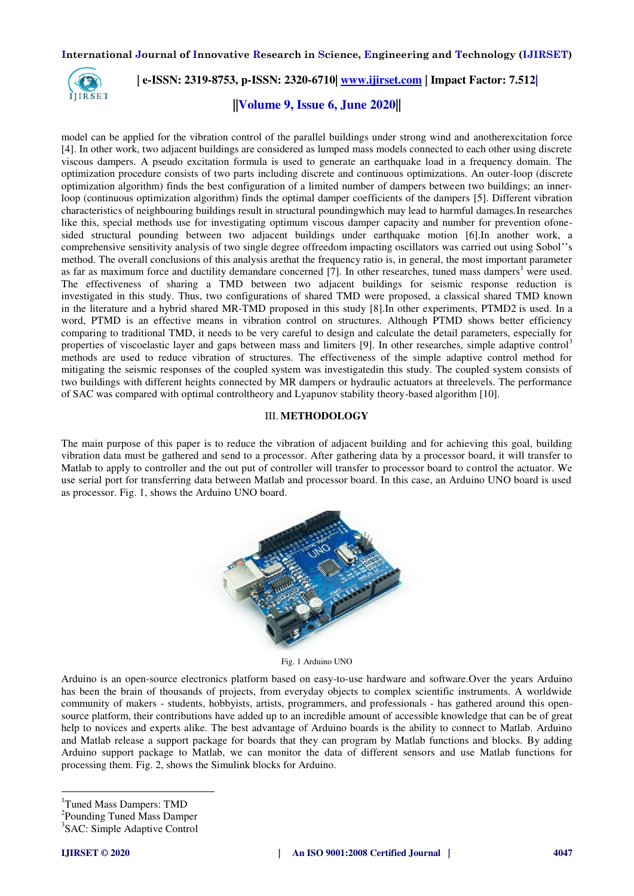

 **| e-ISSN: 2319-8753, p-ISSN: 2320-6710| [www.ijirset.com](http://www.ijirset.com/) | Impact Factor: 7.512|**

## **||Volume 9, Issue 6, June 2020||**

model can be applied for the vibration control of the parallel buildings under strong wind and anotherexcitation force [4]. In other work, two adjacent buildings are considered as lumped mass models connected to each other using discrete viscous dampers. A pseudo excitation formula is used to generate an earthquake load in a frequency domain. The optimization procedure consists of two parts including discrete and continuous optimizations. An outer-loop (discrete optimization algorithm) finds the best configuration of a limited number of dampers between two buildings; an innerloop (continuous optimization algorithm) finds the optimal damper coefficients of the dampers [5]. Different vibration characteristics of neighbouring buildings result in structural poundingwhich may lead to harmful damages.In researches like this, special methods use for investigating optimum viscous damper capacity and number for prevention ofonesided structural pounding between two adjacent buildings under earthquake motion [6].In another work, a comprehensive sensitivity analysis of two single degree offreedom impacting oscillators was carried out using Sobol''s method. The overall conclusions of this analysis arethat the frequency ratio is, in general, the most important parameter as far as maximum force and ductility demandare concerned  $[7]$ . In other researches, tuned mass dampers<sup>1</sup> were used. The effectiveness of sharing a TMD between two adjacent buildings for seismic response reduction is investigated in this study. Thus, two configurations of shared TMD were proposed, a classical shared TMD known in the literature and a hybrid shared MR-TMD proposed in this study [8].In other experiments, PTMD2 is used. In a word, PTMD is an effective means in vibration control on structures. Although PTMD shows better efficiency comparing to traditional TMD, it needs to be very careful to design and calculate the detail parameters, especially for properties of viscoelastic layer and gaps between mass and limiters [9]. In other researches, simple adaptive control<sup>3</sup> methods are used to reduce vibration of structures. The effectiveness of the simple adaptive control method for mitigating the seismic responses of the coupled system was investigatedin this study. The coupled system consists of two buildings with different heights connected by MR dampers or hydraulic actuators at threelevels. The performance of SAC was compared with optimal controltheory and Lyapunov stability theory-based algorithm [10].

## III. **METHODOLOGY**

The main purpose of this paper is to reduce the vibration of adjacent building and for achieving this goal, building vibration data must be gathered and send to a processor. After gathering data by a processor board, it will transfer to Matlab to apply to controller and the out put of controller will transfer to processor board to control the actuator. We use serial port for transferring data between Matlab and processor board. In this case, an Arduino UNO board is used as processor. Fig. 1, shows the Arduino UNO board.



Fig. 1 Arduino UNO

Arduino is an open-source electronics platform based on easy-to-use hardware and software.Over the years Arduino has been the brain of thousands of projects, from everyday objects to complex scientific instruments. A worldwide community of makers - students, hobbyists, artists, programmers, and professionals - has gathered around this opensource platform, their contributions have added up to an incredible amount of [accessible knowledge](http://forum.arduino.cc/) that can be of great help to novices and experts alike. The best advantage of Arduino boards is the ability to connect to Matlab. Arduino and Matlab release a support package for boards that they can program by Matlab functions and blocks. By adding Arduino support package to Matlab, we can monitor the data of different sensors and use Matlab functions for processing them. Fig. 2, shows the Simulink blocks for Arduino.

<sup>1</sup>Tuned Mass Dampers: TMD

 $\overline{a}$ 

<sup>&</sup>lt;sup>2</sup>Pounding Tuned Mass Damper

<sup>3</sup> SAC: Simple Adaptive Control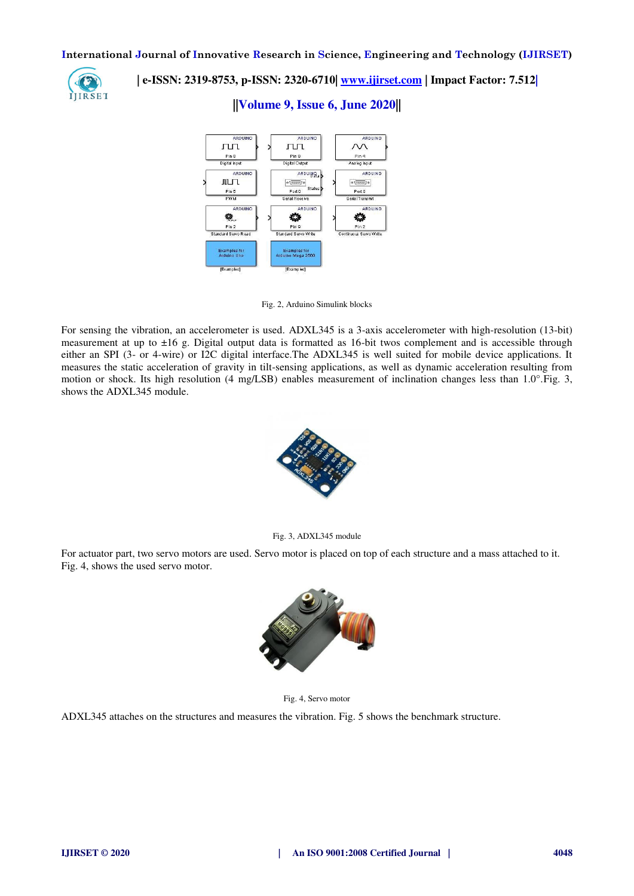

 **| e-ISSN: 2319-8753, p-ISSN: 2320-6710| [www.ijirset.com](http://www.ijirset.com/) | Impact Factor: 7.512|**

**||Volume 9, Issue 6, June 2020||** 



Fig. 2, Arduino Simulink blocks

For sensing the vibration, an accelerometer is used. ADXL345 is a 3-axis accelerometer with high-resolution (13-bit) measurement at up to ±16 g. Digital output data is formatted as 16-bit twos complement and is accessible through either an SPI (3- or 4-wire) or I2C digital interface.The ADXL345 is well suited for mobile device applications. It measures the static acceleration of gravity in tilt-sensing applications, as well as dynamic acceleration resulting from motion or shock. Its high resolution (4 mg/LSB) enables measurement of inclination changes less than 1.0°. Fig. 3, shows the ADXL345 module.



Fig. 3, ADXL345 module

For actuator part, two servo motors are used. Servo motor is placed on top of each structure and a mass attached to it. Fig. 4, shows the used servo motor.



Fig. 4, Servo motor

ADXL345 attaches on the structures and measures the vibration. Fig. 5 shows the benchmark structure.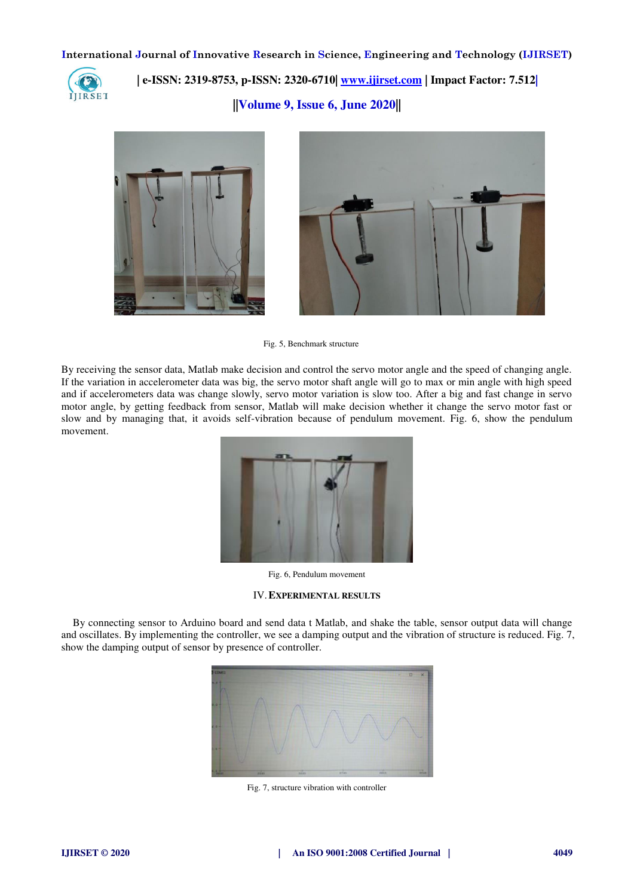

 **| e-ISSN: 2319-8753, p-ISSN: 2320-6710| [www.ijirset.com](http://www.ijirset.com/) | Impact Factor: 7.512|**

**||Volume 9, Issue 6, June 2020||** 



Fig. 5, Benchmark structure

By receiving the sensor data, Matlab make decision and control the servo motor angle and the speed of changing angle. If the variation in accelerometer data was big, the servo motor shaft angle will go to max or min angle with high speed and if accelerometers data was change slowly, servo motor variation is slow too. After a big and fast change in servo motor angle, by getting feedback from sensor, Matlab will make decision whether it change the servo motor fast or slow and by managing that, it avoids self-vibration because of pendulum movement. Fig. 6, show the pendulum movement.



Fig. 6, Pendulum movement

#### IV.**EXPERIMENTAL RESULTS**

By connecting sensor to Arduino board and send data t Matlab, and shake the table, sensor output data will change and oscillates. By implementing the controller, we see a damping output and the vibration of structure is reduced. Fig. 7, show the damping output of sensor by presence of controller.



Fig. 7, structure vibration with controller